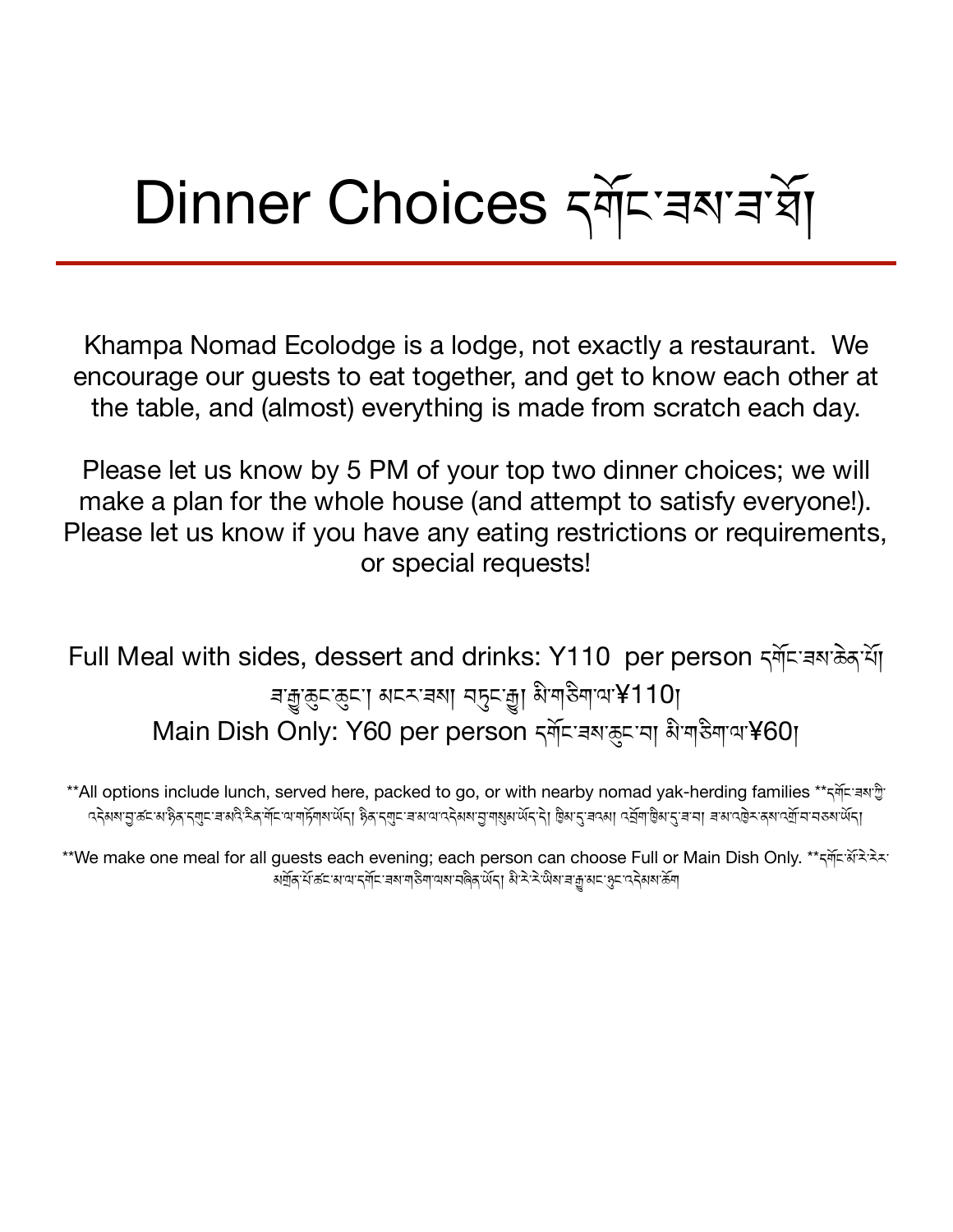## Dinner Choices दर्बे। अधिकार देश

Khampa Nomad Ecolodge is a lodge, not exactly a restaurant. We encourage our guests to eat together, and get to know each other at the table, and (almost) everything is made from scratch each day.

Please let us know by 5 PM of your top two dinner choices; we will make a plan for the whole house (and attempt to satisfy everyone!). Please let us know if you have any eating restrictions or requirements, or special requests!

Full Meal with sides, dessert and drinks: Y110 per person क्लॅम बरा के अर्थो बज़ुरुदारुदा। अदरावया बहुदाज्ञा अे बारेगाथा¥110। Main Dish Only: Y60 per person དགོང་རྒས་རྱང་བ། མི་གརིག་ལ་¥60।

\*\*All options include lunch, served here, packed to go, or with nearby nomad yak-herding families \*\*དགོང་རས་ལི་ ব্ইমম'ন্সুক্ৰমে'ইর্'ন্মুন'ৰাম্প্ৰীইর্'ম্বান'আম্সিম'ৰ্অন্য ইর্'ন্মুন'ৰাম্পাব্ইমম'ন'ৰাম্প্ৰম'ন'ৰব্বা বুলি'ট্রিম'ন'ৰামা ৰাম'ব্রুম'নমেন অবিশিল্পকাৰ্মানা

\*\*We make one meal for all guests each evening; each person can choose Full or Main Dish Only. \*\*དགོང་མོརེ་རེར་ अर्थेद'र्भे ऊँ अ'या'द अप्रिया अध्यायक अनेक अपनी अप्रे अप्रे अप्रे अपनी अप्रे अपर्केण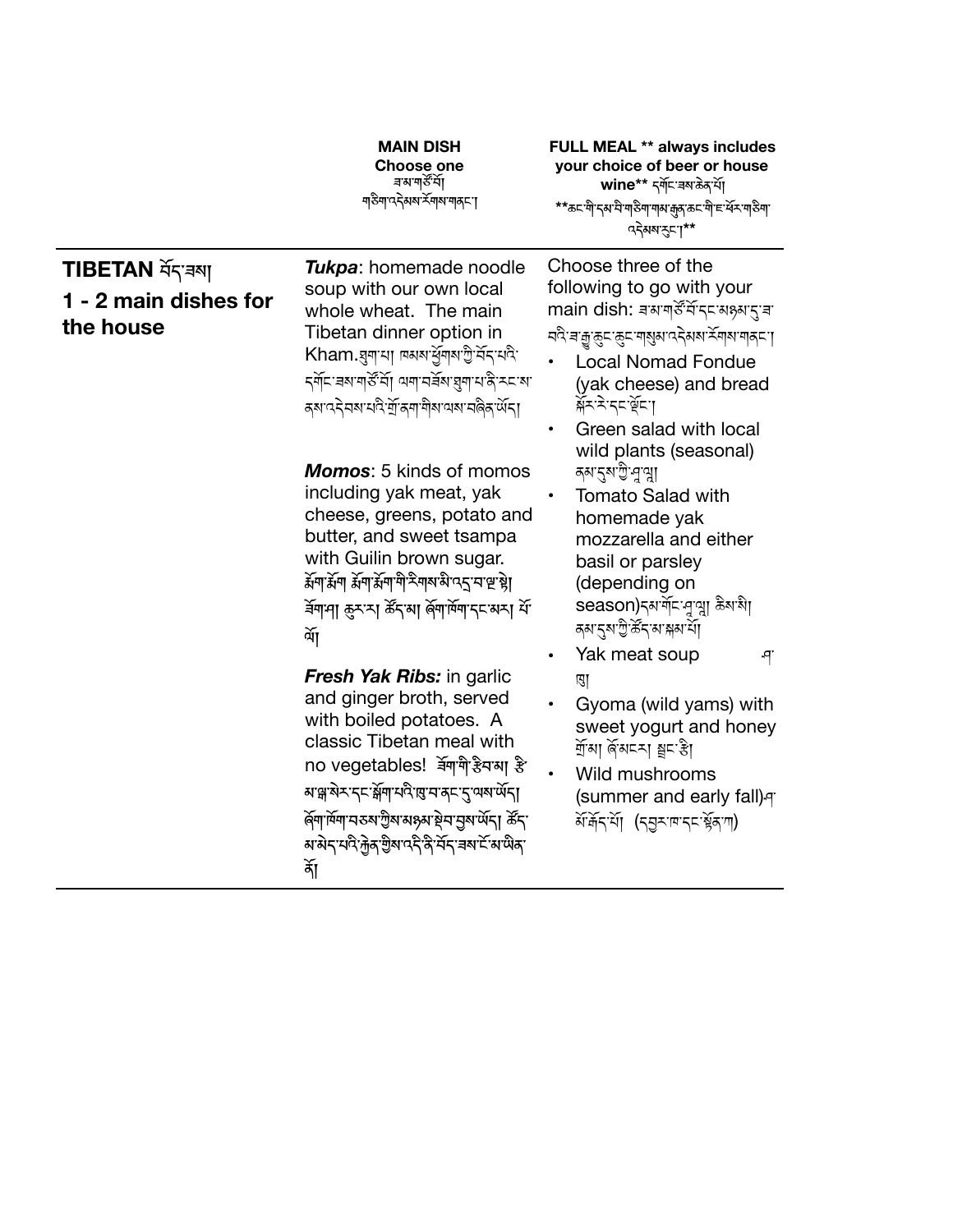|                                                     | <b>MAIN DISH</b><br><b>Choose one</b><br>ন্নমন্মৰ্জী<br><b>ग</b> ठैगा ददेवावा र्रेगावा गावा                                                                                                                                                                                                                               | <b>FULL MEAL ** always includes</b><br>your choice of beer or house<br>wine** दर्गेदखबरके थें।<br>**ಹ⊏ॱॺऀॱॸॺॱॺऀॱॺऻऀऄॺॱॺऻॺॱक़ॖॺॱॸॸॱॺऀॱॸॱॺ॔ॸॱॺऻऀॴॱ<br>ददेवबर्दना**                                                                                                                                    |
|-----------------------------------------------------|---------------------------------------------------------------------------------------------------------------------------------------------------------------------------------------------------------------------------------------------------------------------------------------------------------------------------|-----------------------------------------------------------------------------------------------------------------------------------------------------------------------------------------------------------------------------------------------------------------------------------------------------|
| TIBETAN ASTEN<br>1 - 2 main dishes for<br>the house | Tukpa: homemade noodle<br>soup with our own local<br>whole wheat. The main<br>Tibetan dinner option in<br>Kham.য়্ৰ্মামা নকৰাৰ্শ্ৰমাণ্ট্ৰীৰ্মানী<br><i>ম্</i> ণ্যিৰমাণার্সূম্য অশামৰ্ষমায়্নামান্ত্রিমহামা<br><i>द्</i> षाददेवबायदेर्भाक्षणामेबायबायलेकार्थेदा<br><b>Momos:</b> 5 kinds of momos                          | Choose three of the<br>following to go with your<br>main dish: बलपार्डॅंसें दर सक्ष्य दुवा<br><u>नदे बच्चु क्रुम क्रुम बा</u> रीश उर्दुशय <u>ज</u> ूराबा बोर्टा ।<br><b>Local Nomad Fondue</b><br>(yak cheese) and bread<br>क्रॅर'दे'द्दर्भेद' <br>Green salad with local<br>wild plants (seasonal) |
|                                                     | including yak meat, yak<br>cheese, greens, potato and<br>butter, and sweet tsampa<br>with Guilin brown sugar.<br>र्मेगार्मेग र्मेगार्मेगागो नेगबाबे प5 माष्ट है।<br>र्वेगमा रूरस र्ढेनया र्लगार्मेगान असा में<br>र्वे[                                                                                                    | নমন্ত্ৰী পুত্মা<br><b>Tomato Salad with</b><br>$\bullet$<br>homemade yak<br>mozzarella and either<br>basil or parsley<br>(depending on<br>season)รุมयें्द्रभूवा क्रैशश<br>ৰমানুষাট্টাৰ্ক্টন'ৰা'ক্লম'ৰ্মা<br>Yak meat soup<br>٩<br>$\bullet$                                                         |
|                                                     | <b>Fresh Yak Ribs: in garlic</b><br>and ginger broth, served<br>with boiled potatoes. A<br>classic Tibetan meal with<br>no vegetables! बेंगगै हैयआ है<br>ॺॶॣऄॸॱॸड़ऄॕॗॺऻॳॳॖख़ॱॸॸॸॱड़ॱॺॺॱऄ॔ॸऻ<br>ৰ্জনাৰ্দিনা নহৰা ট্ৰমান্সমূহ ইন'ব্ৰম'ৰ্অঁন  ৰ্ক্ৰন'<br><i>ॺ</i> ॱऄॸॱॺ॑ <sup>ऄ</sup> ॹॖॆॺॱॻऀॸऀॱऄऀॱय़॔ॸॱॾॺॱ॓॔॔ॺॱॺऀॺॱ<br>ৰ্কা | ए।<br>Gyoma (wild yams) with<br>sweet yogurt and honey<br>ৰ্শ্ৰমা ৰ্জমঘনা শ্ৰুঘষ্টা<br>Wild mushrooms<br>(summer and early fall) q<br>अॅर्केनर्था (न्युराषानमञ्जूला)                                                                                                                                |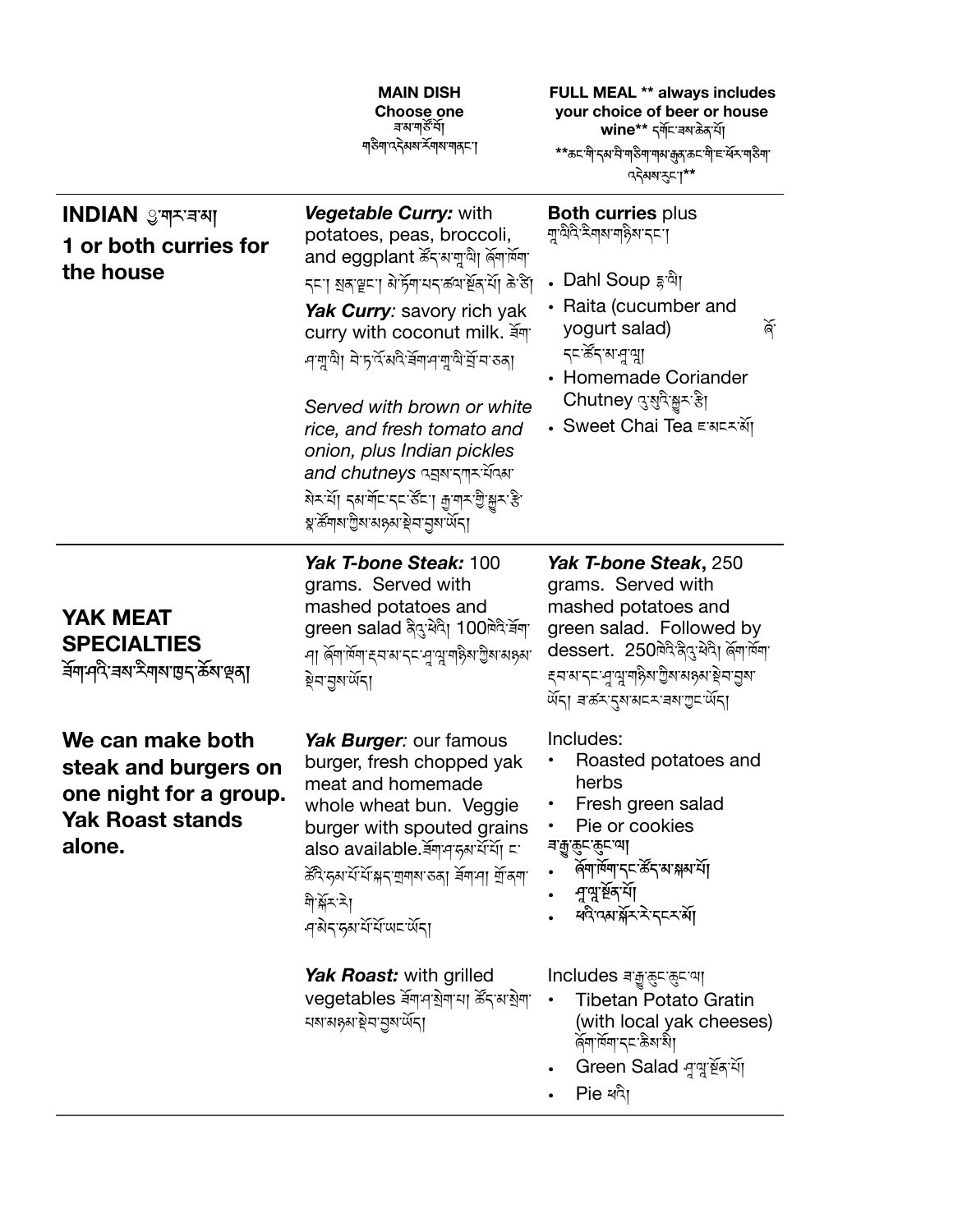|                                                                                                         | <b>MAIN DISH</b><br><b>Choose one</b><br>ৰমন্বৰ্ষণ<br><u> </u> नउैमाददेसबार्ट्सबाबानदा                                                                                                                                                                                                                                                                                                                                                                           | <b>FULL MEAL ** always includes</b><br>your choice of beer or house<br>wine** दर्गेदखबरबेंदाॅं।<br>**ಹ⊏ॱॺऀॱॸॺॱय़ॆॱॺऻऄॺऻॱॺऻज़ॺॱक़ॖॺॱॸऄॱॸॷॎड़ॴ<br><b>पदेसबारु</b> मा**                                                                  |
|---------------------------------------------------------------------------------------------------------|------------------------------------------------------------------------------------------------------------------------------------------------------------------------------------------------------------------------------------------------------------------------------------------------------------------------------------------------------------------------------------------------------------------------------------------------------------------|---------------------------------------------------------------------------------------------------------------------------------------------------------------------------------------------------------------------------------------|
| INDIAN ৢ্ৰশ্মৰকা<br>1 or both curries for<br>the house                                                  | Vegetable Curry: with<br>potatoes, peas, broccoli,<br>and eggplant र्डेंदअप्राप्यो बेंगॉमन<br>ह्या बुद्धाना बेलियायहरूलार्थेदाया के डा<br>Yak Curry: savory rich yak<br>curry with coconut milk. र्वेया<br>-নম্মুন্মী নাঁচুৰ্বিমবি বিমানমুন্মী ব্ৰীনাভৰা<br>Served with brown or white<br>rice, and fresh tomato and<br>onion, plus Indian pickles<br>and chutneys ব্রুষাদ্শমর্শিকা<br>बेरभा दबलार दर रहा। कै.बोर ब्रीझेर कु<br>য়ৢ৾ৼয়৸য়ৢৗৢয়ড়৻৸য়৸ড়৸ড়৸ড়৻৸ | <b>Both curries plus</b><br>ॻॣऄॎऀय़ऀऋऀॻॺॻॎऀ8ॺॱॸॸॱग़<br>• Dahl Soup <sub>ই</sub> 'মা<br>• Raita (cucumber and<br>ৰ্জ<br>yogurt salad)<br>ॸॸॱॐॸॱॺॱय़॒ॺॢऻ<br>• Homemade Coriander<br>Chutney दुखुदैःङ्कर है <br>• Sweet Chai Tea ≡ঝেনকাঁ |
| <b>YAK MEAT</b><br><b>SPECIALTIES</b><br><del>≦</del> শিদ্দী ৰম'মীৰ্শান্তন'ৰ্ক্তম'ণ্ড্ৰা                | Yak T-bone Steak: 100<br>grams. Served with<br>mashed potatoes and<br>green salad क्षेदु:येदे। 100षेदे:र्बेगा<br>-৭া ৰ্জিশাৰ্মিশ হন মান্ন বাণ্মুশাইম ট্ৰমান্নয়ন<br>ङ्गेन नुब <i>र्षे</i> न्।                                                                                                                                                                                                                                                                    | Yak T-bone Steak, 250<br>grams. Served with<br>mashed potatoes and<br>green salad. Followed by<br>dessert. 250ब्बेदेद्वयेदा र्लेगार्बेगा<br><i>द्</i> यासाद्दा-पुण्युःयाह्नेसालुबासहस्राञ्चसा<br>ৰ্অঁহা ৰাক্কাত্মসমনকাৰীস্থা          |
| We can make both<br>steak and burgers on<br>one night for a group.<br><b>Yak Roast stands</b><br>alone. | Yak Burger: our famous<br>burger, fresh chopped yak<br>meat and homemade<br>whole wheat bun. Veggie<br>burger with spouted grains<br>also available.ৰ্ষশ্ৰদ্ধৰ্শিয় মা<br>क्ष्वे रुवाये ये भनपानवारुका बेनामा में वना<br>ণীর্শ্লনী<br>-q'बेद'हबायें यें पद पेंदा                                                                                                                                                                                                 | Includes:<br>Roasted potatoes and<br>herbs<br>Fresh green salad<br>Pie or cookies<br><i>ৰ</i> া্ক্ৰুন্ক্ৰুন্মে <br>ৰ্জিশাৰ্শিশ দৃ ভিত্তি কৰি সময় যি<br>-নুত্মুৰ্শূৰ <sup>্</sup> শ[<br>ধন্দৰাৰ্শ্লিষ্ট্ৰস্থিত                        |
|                                                                                                         | Yak Roast: with grilled<br>vegetables ৰ্ষশশয়ম্বা ৰ্ক্ষনম্বাশ<br>য়মময়য়মন্ত্ৰসমূহ আৰু                                                                                                                                                                                                                                                                                                                                                                          | Includes बाक्कुरारुदाया<br>Tibetan Potato Gratin<br>(with local yak cheeses)<br>ৰ্জিশাৰ্শিদ্দক্ষিষায়ী<br>Green Salad बुल्नुर्धेन थें।<br>Pie ধন্ম                                                                                    |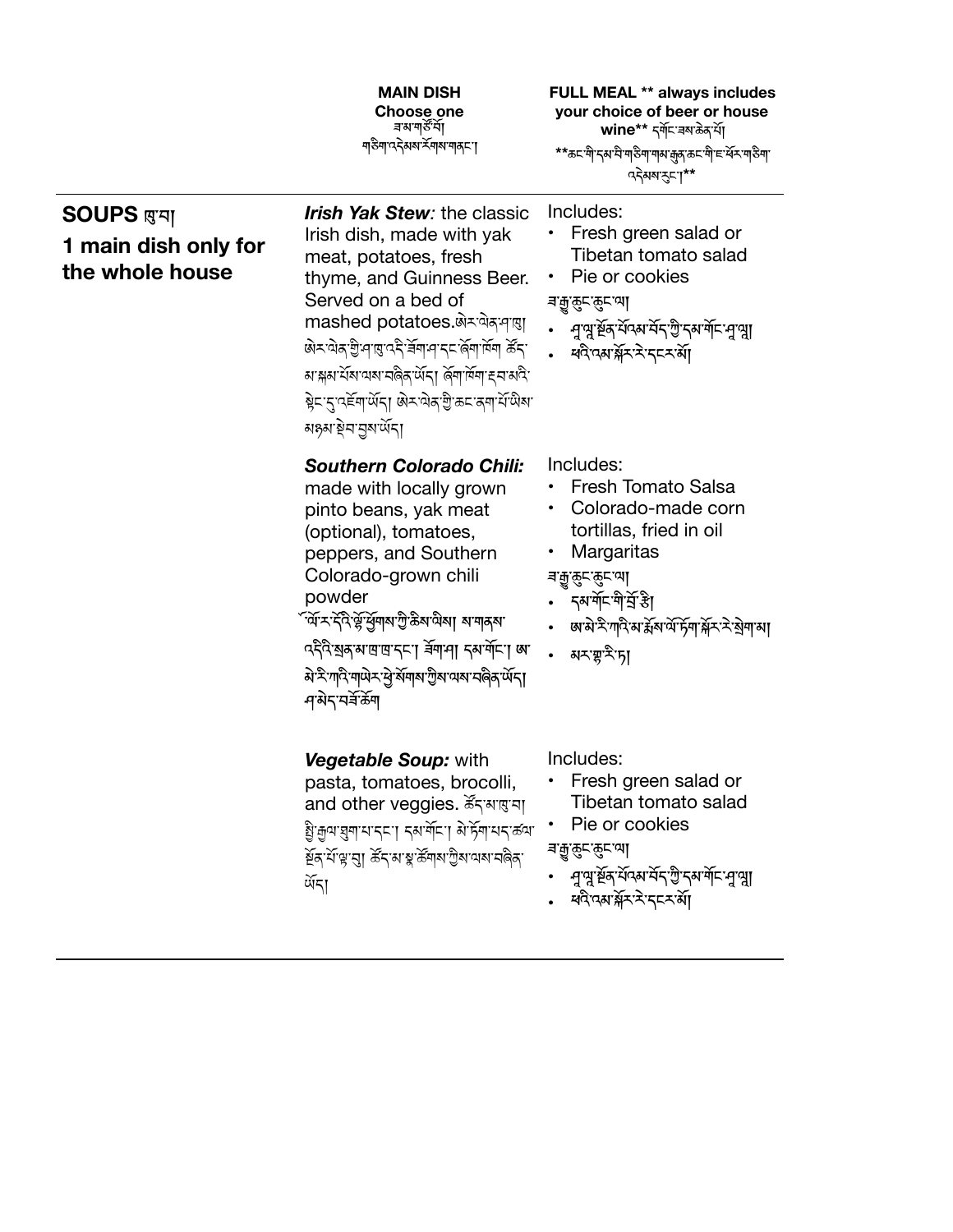|                                                                  | <b>MAIN DISH</b><br><b>Choose one</b><br>ন্নমন্মৰ্কী<br><u> ग</u> ङेग पदेअव र्रेगव्य गठ्या                                                                                                                                                                                                                                                                | <b>FULL MEAL ** always includes</b><br>your choice of beer or house<br>wine** दर्गेदाज्ञाकेकार्ये।<br>**ಹ⊏`गे'दअ`घे'गडेग'गअक्कु'क्र्दागे'हार्थेर'गडेग'<br>ददेवब रुप**                            |
|------------------------------------------------------------------|-----------------------------------------------------------------------------------------------------------------------------------------------------------------------------------------------------------------------------------------------------------------------------------------------------------------------------------------------------------|--------------------------------------------------------------------------------------------------------------------------------------------------------------------------------------------------|
| <b>SOUPS</b> प्रुप्पा<br>1 main dish only for<br>the whole house | <b>Irish Yak Stew:</b> the classic<br>Irish dish, made with yak<br>meat, potatoes, fresh<br>thyme, and Guinness Beer.<br>Served on a bed of<br>mashed potatoes. अे×पोक्ष पात्<br>लेर पेन गुनाए देने बनान दा लेना में बार<br>बाङ्गबार्यबावयावलेकार्येदा बिनार्मिनाह्याबदि<br>ब्नेट दुग्दर्हेगार्थेदा अेट येक गुरु कट क्या र्ये पेश<br>মঙ্গস্থিন'নুম'ৰ্ਘঁনা | Includes:<br>Fresh green salad or<br>Tibetan tomato salad<br>Pie or cookies<br><i>ৰ</i> া্ক্ৰুন্ক্ৰুন্মে <br>• मुत्रुःर्श्वेदार्येदशर्मेदाणुः दशर्मेदामुत्रुा<br>• ধনীত্মসন্ত্ৰীসকলক মা          |
|                                                                  | <b>Southern Colorado Chili:</b><br>made with locally grown<br>pinto beans, yak meat<br>(optional), tomatoes,<br>peppers, and Southern<br>Colorado-grown chili<br>powder<br><sup>ঁ</sup> ৰ্মসাইনীৰ্উৰ্দ্ৰশ্ৰমাণ্ট্ৰীক্ষযা ৰাশকৰা<br>ददैदेखरुषाष्ठाष्ठद्मा र्वेगमा दबर्गेमा अ<br>ऄॱ <sup>ঽ</sup> ॱग़ऻऀॱग़ऻऄॸॱऄॖॱऄ॔ग़ऻॺॱॻॖॆॺॱय़ॺॱॸऻऀढ़ॱऄ॔ॸऻ<br>ন'মই'নৰ্ষক্টশ | Includes:<br><b>Fresh Tomato Salsa</b><br>Colorado-made corn<br>tortillas, fried in oil<br>Margaritas<br><i>ৰ</i> া্ক্ৰুন্ক্ৰুন্মে <br>• दुषयॅप्पियेर्पिंडी<br>• মনস্থানীস                       |
|                                                                  | Vegetable Soup: with<br>pasta, tomatoes, brocolli,<br>and other veggies. Karaga<br>धुः कुषाञ्चुमायाद्दा दब्धर्मेदा बेग्हेंमायदाढवा<br>ষ্ট্ৰ শিল্প'ন্ম ৰ্ক্টন'ৰ উপৰা শ্ৰীৰ অধ্যাপনী<br>र्षेद्।                                                                                                                                                             | Includes:<br>Fresh green salad or<br>Tibetan tomato salad<br>Pie or cookies<br><i>ৰ</i> 'ৰ্ট্ৰুক্ৰুন্দ্ৰে <br>প্ৰণ্মুৰ্শ্ববৰ্ণনকৰ বিভিন্ন অৰ্ণন প্ৰণ্ম <u>া</u><br>• ধন্বিত্মস্ক্ৰীমাই বৃচমৰ্শ্য |